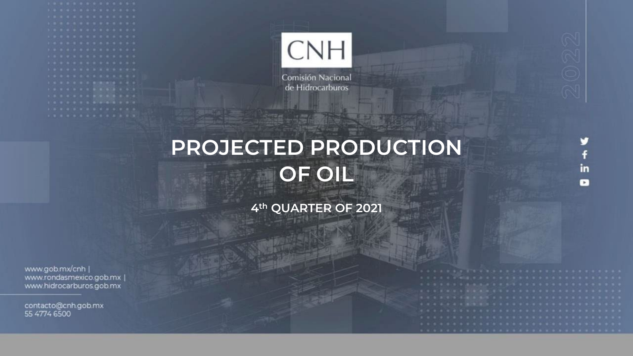

Comisión Nacional de Hidrocarburos

# **PROJECTED PRODUCTION OF OIL**

**4th QUARTER OF 2021**

www.gob.mx/cnh | www.rondasmexico.gob.mx | www.hidrocarburos.gob.mx

contacto@cnh.gob.mx 55 4774 6500

in  $\bullet$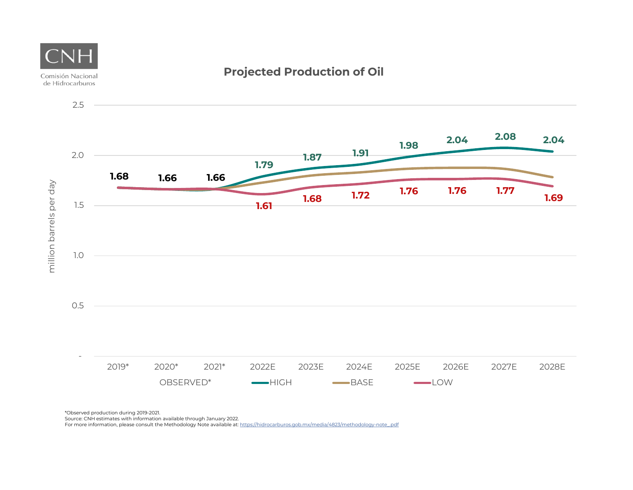

**Projected Production of Oil**

\*Observed production during 2019-2021.

Source: CNH estimates with information available through January 2022.

For more information, please consult the Methodology Note available at: https://hidrocarburos.gob.mx/media/4823/methodology-note\_pdf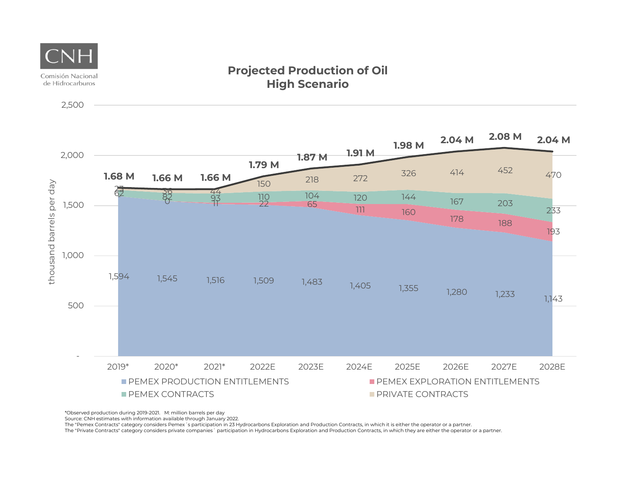

\*Observed production during 2019-2021. M: million barrels per day

Source: CNH estimates with information available through January 2022.

The "Pemex Contracts" category considers Pemex´s participation in 23 Hydrocarbons Exploration and Production Contracts, in which it is either the operator or a partner.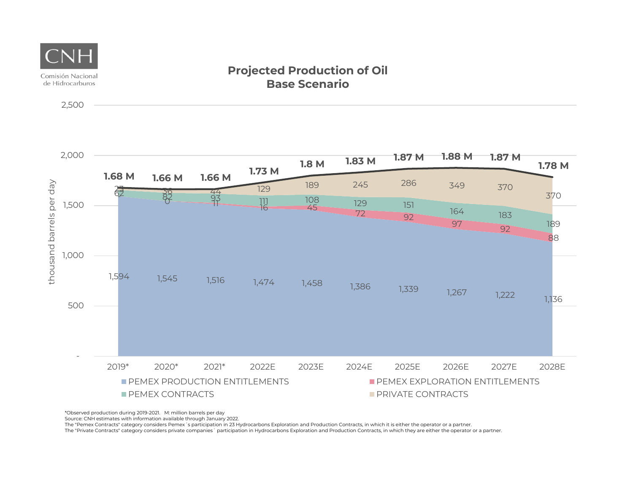

2,500

#### **Projected Production of Oil Base Scenario**



\*Observed production during 2019-2021. M: million barrels per day

Source: CNH estimates with information available through January 2022.

The "Pemex Contracts" category considers Pemex´s participation in 23 Hydrocarbons Exploration and Production Contracts, in which it is either the operator or a partner.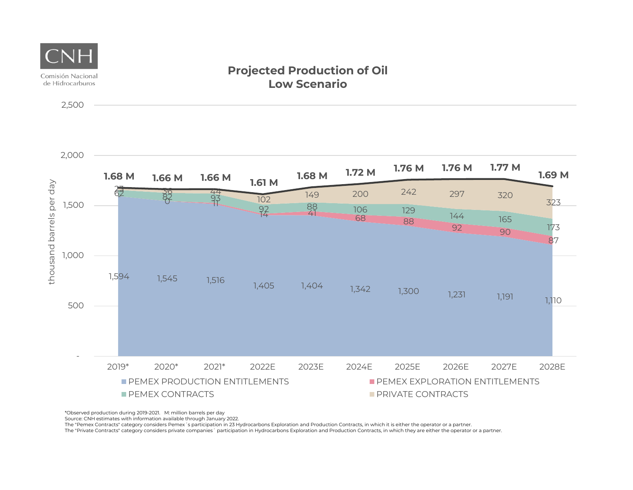

\*Observed production during 2019-2021. M: million barrels per day

Source: CNH estimates with information available through January 2022.

The "Pemex Contracts" category considers Pemex´s participation in 23 Hydrocarbons Exploration and Production Contracts, in which it is either the operator or a partner.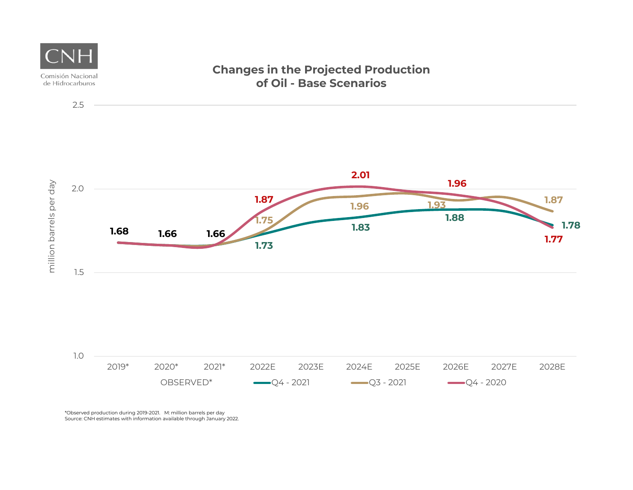

\*Observed production during 2019-2021. M: million barrels per day Source: CNH estimates with information available through January 2022.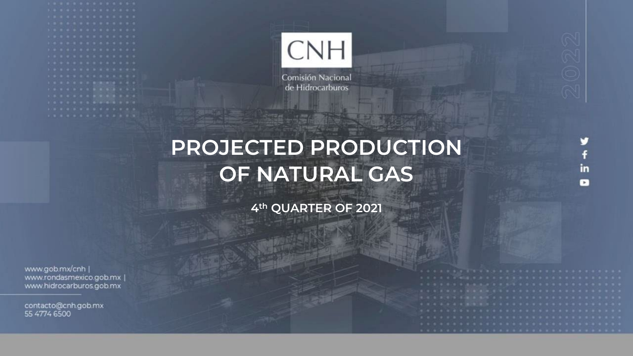

Comisión Nacional de Hidrocarburos

## **PROJECTED PRODUCTION OF NATURAL GAS**

**4th QUARTER OF 2021**

www.gob.mx/cnh | www.rondasmexico.gob.mx | www.hidrocarburos.gob.mx

contacto@cnh.gob.mx 55 4774 6500

in ×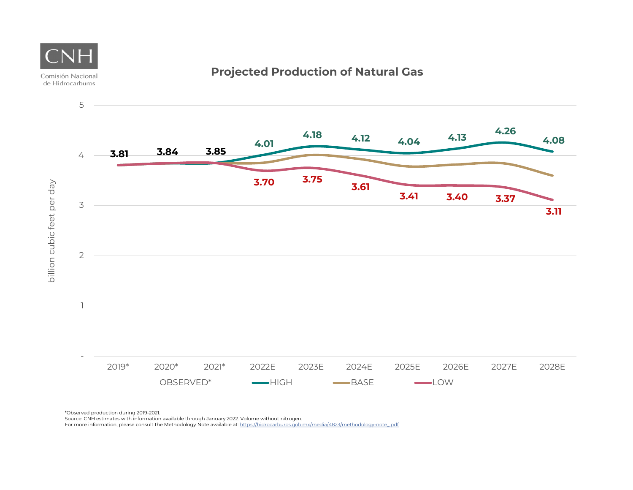

**Projected Production of Natural Gas**

\*Observed production during 2019-2021.

Comisión Nacional

Source: CNH estimates with information available through January 2022. Volume without nitrogen.

For more information, please consult the Methodology Note available at: https://hidrocarburos.gob.mx/media/4823/methodology-note\_pdf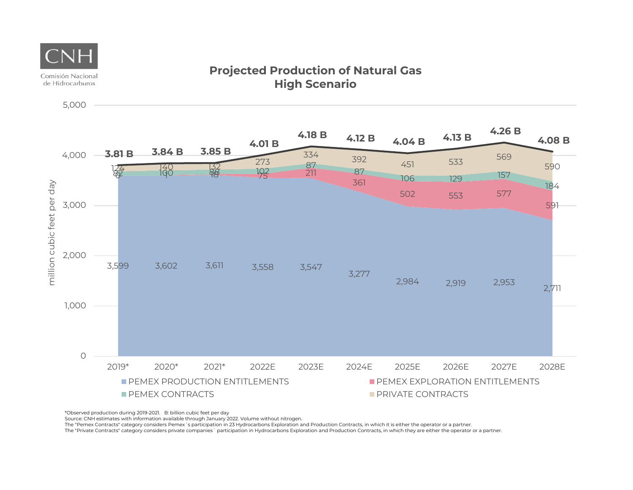

5,000

#### **Projected Production of Natural Gas High Scenario**



\*Observed production during 2019-2021. B: billion cubic feet per day

Source: CNH estimates with information available through January 2022. Volume without nitrogen.

The "Pemex Contracts" category considers Pemex´s participation in 23 Hydrocarbons Exploration and Production Contracts, in which it is either the operator or a partner.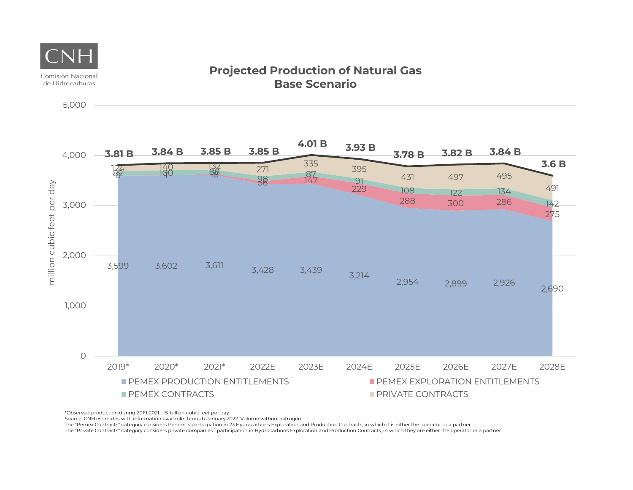



\*Observed production during 2019-2021. B: billion cubic feet per day

Source: CNH estimates with information available through January 2022. Volume without nitrogen.

The "Pemex Contracts" category considers Pemex´s participation in 23 Hydrocarbons Exploration and Production Contracts, in which it is either the operator or a partner.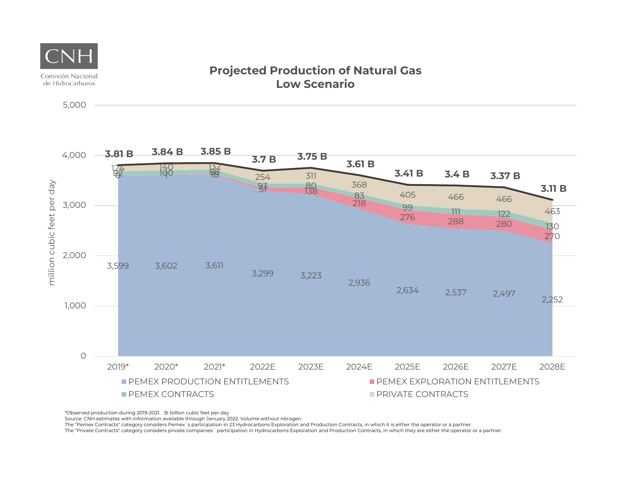



\*Observed production during 2019-2021. B: billion cubic feet per day

Source: CNH estimates with information available through January 2022. Volume without nitrogen.

The "Pemex Contracts" category considers Pemex´s participation in 23 Hydrocarbons Exploration and Production Contracts, in which it is either the operator or a partner.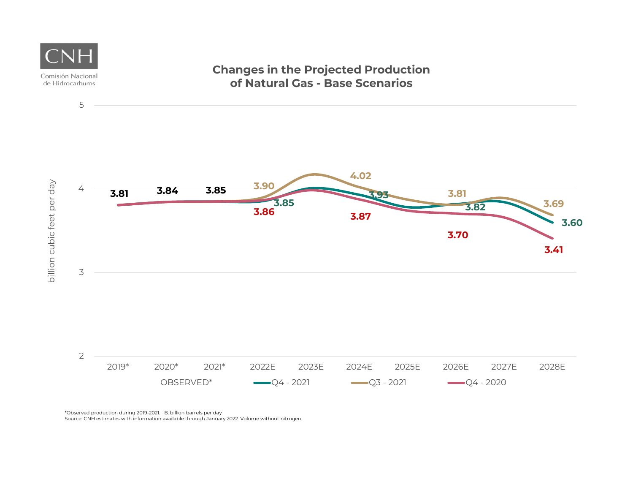

\*Observed production during 2019-2021. B: billion barrels per day Source: CNH estimates with information available through January 2022. Volume without nitrogen.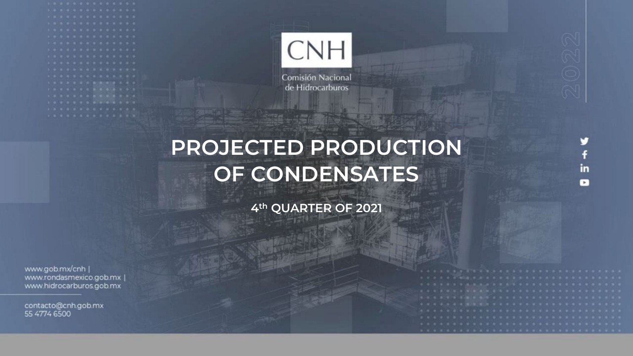

Comisión Nacional de Hidrocarburos

## **PROJECTED PRODUCTION OF CONDENSATES**

**4th QUARTER OF 2021**

www.gob.mx/cnh | www.rondasmexico.gob.mx | www.hidrocarburos.gob.mx

contacto@cnh.gob.mx 55 4774 6500

in  $\mathbf{r}$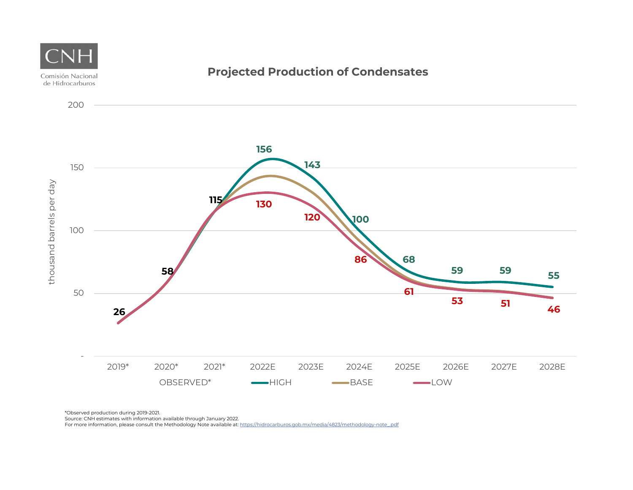

Source: CNH estimates with information available through January 2022.

For more information, please consult the Methodology Note available at: https://hidrocarburos.gob.mx/media/4823/methodology-note\_pdf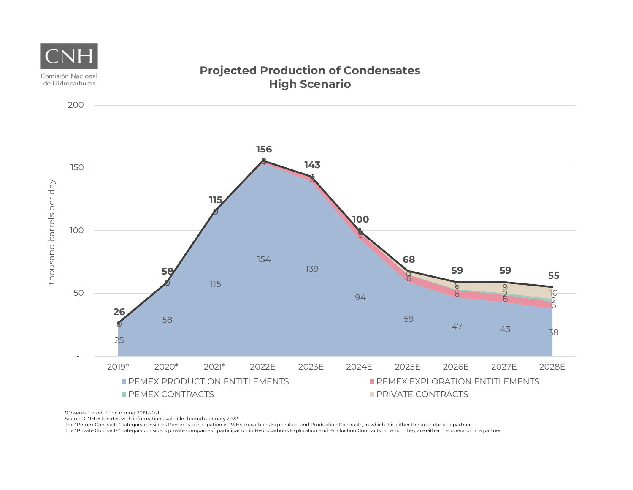

Source: CNH estimates with information available through January 2022.

The "Pemex Contracts" category considers Pemex´s participation in 23 Hydrocarbons Exploration and Production Contracts, in which it is either the operator or a partner.<br>The "Private Contracts" category considers private co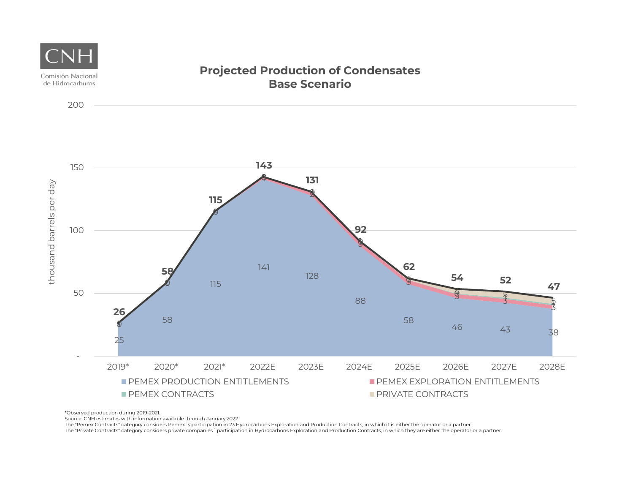

Source: CNH estimates with information available through January 2022.

The "Pemex Contracts" category considers Pemex´s participation in 23 Hydrocarbons Exploration and Production Contracts, in which it is either the operator or a partner.<br>The "Private Contracts" category considers private co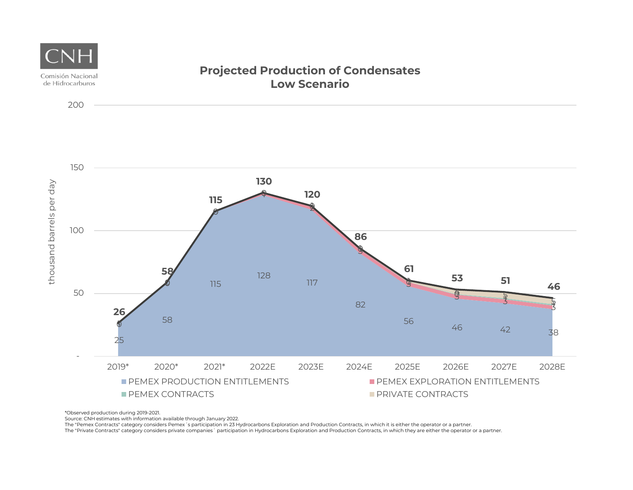

Source: CNH estimates with information available through January 2022.

The "Pemex Contracts" category considers Pemex´s participation in 23 Hydrocarbons Exploration and Production Contracts, in which it is either the operator or a partner.<br>The "Private Contracts" category considers private co